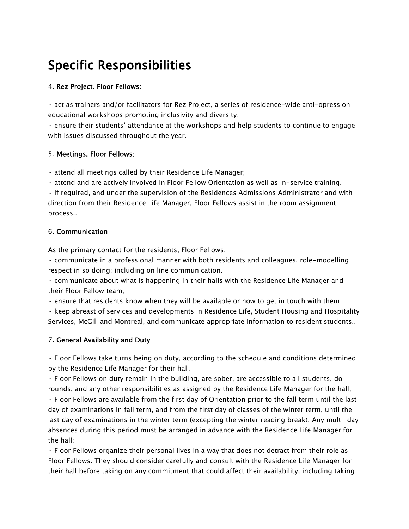# Specific Responsibilities

### 4. Rez Project. Floor Fellows:

• act as trainers and/or facilitators for Rez Project, a series of residence-wide anti-opression educational workshops promoting inclusivity and diversity;

• ensure their students' attendance at the workshops and help students to continue to engage with issues discussed throughout the year.

#### 5. Meetings. Floor Fellows:

• attend all meetings called by their Residence Life Manager;

• attend and are actively involved in Floor Fellow Orientation as well as in-service training.

• If required, and under the supervision of the Residences Admissions Administrator and with direction from their Residence Life Manager, Floor Fellows assist in the room assignment process..

### 6. Communication

As the primary contact for the residents, Floor Fellows:

• communicate in a professional manner with both residents and colleagues, role-modelling respect in so doing; including on line communication.

• communicate about what is happening in their halls with the Residence Life Manager and their Floor Fellow team;

• ensure that residents know when they will be available or how to get in touch with them;

• keep abreast of services and developments in Residence Life, Student Housing and Hospitality Services, McGill and Montreal, and communicate appropriate information to resident students..

## 7. General Availability and Duty

• Floor Fellows take turns being on duty, according to the schedule and conditions determined by the Residence Life Manager for their hall.

• Floor Fellows on duty remain in the building, are sober, are accessible to all students, do rounds, and any other responsibilities as assigned by the Residence Life Manager for the hall;

• Floor Fellows are available from the first day of Orientation prior to the fall term until the last day of examinations in fall term, and from the first day of classes of the winter term, until the last day of examinations in the winter term (excepting the winter reading break). Any multi-day absences during this period must be arranged in advance with the Residence Life Manager for the hall;

• Floor Fellows organize their personal lives in a way that does not detract from their role as Floor Fellows. They should consider carefully and consult with the Residence Life Manager for their hall before taking on any commitment that could affect their availability, including taking